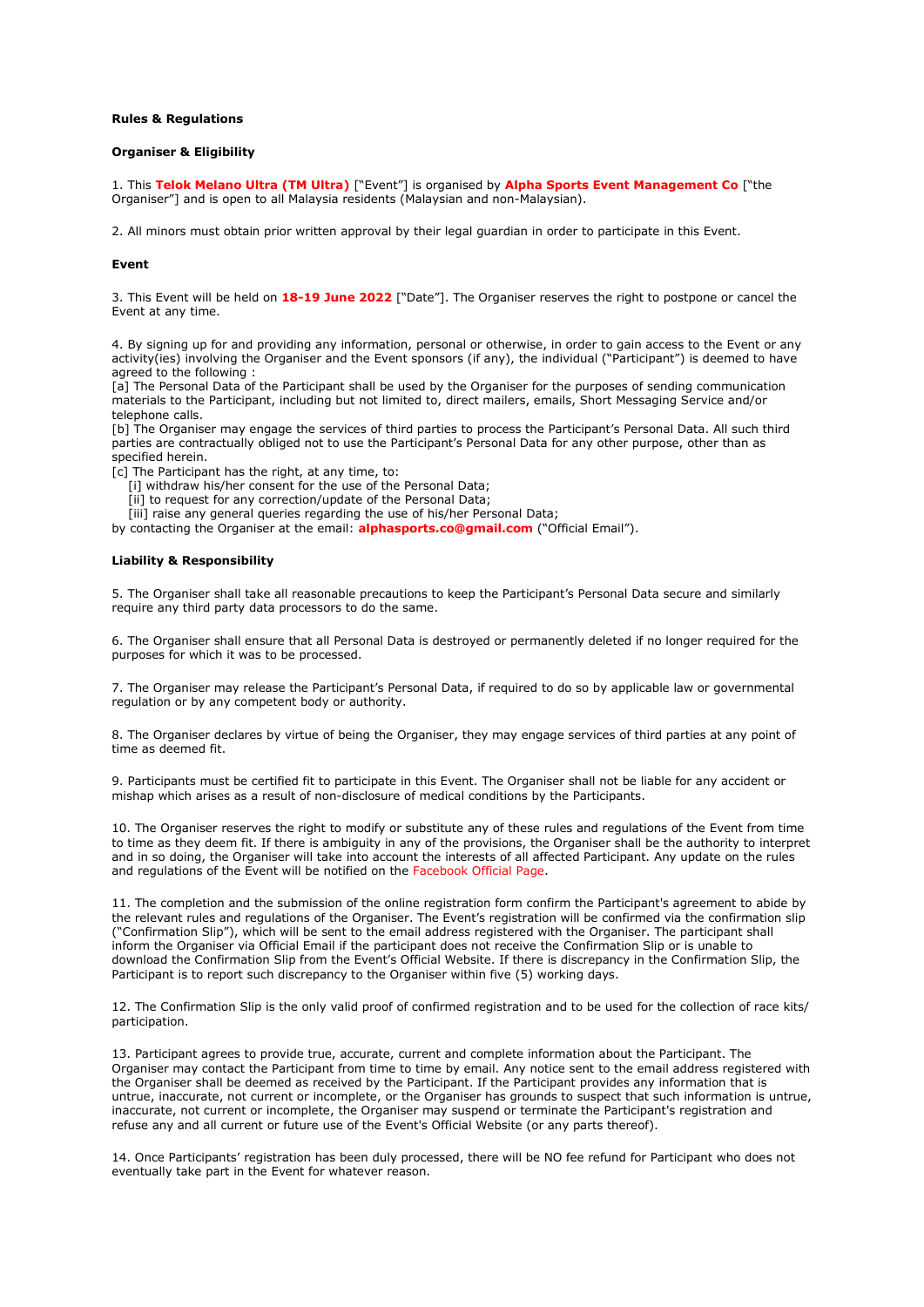### **Rules & Regulations**

## **Organiser & Eligibility**

1. This **Telok Melano Ultra (TM Ultra)** ["Event"] is organised by **Alpha Sports Event Management Co** ["the Organiser"] and is open to all Malaysia residents (Malaysian and non-Malaysian).

2. All minors must obtain prior written approval by their legal guardian in order to participate in this Event.

#### **Event**

3. This Event will be held on **18-19 June 2022** ["Date"]. The Organiser reserves the right to postpone or cancel the Event at any time.

4. By signing up for and providing any information, personal or otherwise, in order to gain access to the Event or any activity(ies) involving the Organiser and the Event sponsors (if any), the individual ("Participant") is deemed to have agreed to the following :

[a] The Personal Data of the Participant shall be used by the Organiser for the purposes of sending communication materials to the Participant, including but not limited to, direct mailers, emails, Short Messaging Service and/or telephone calls.

[b] The Organiser may engage the services of third parties to process the Participant's Personal Data. All such third parties are contractually obliged not to use the Participant's Personal Data for any other purpose, other than as specified herein.

[c] The Participant has the right, at any time, to:

- [i] withdraw his/her consent for the use of the Personal Data;
- [ii] to request for any correction/update of the Personal Data;
- [iii] raise any general queries regarding the use of his/her Personal Data;

by contacting the Organiser at the email: **alphasports.co@gmail.com** ("Official Email").

#### **Liability & Responsibility**

5. The Organiser shall take all reasonable precautions to keep the Participant's Personal Data secure and similarly require any third party data processors to do the same.

6. The Organiser shall ensure that all Personal Data is destroyed or permanently deleted if no longer required for the purposes for which it was to be processed.

7. The Organiser may release the Participant's Personal Data, if required to do so by applicable law or governmental regulation or by any competent body or authority.

8. The Organiser declares by virtue of being the Organiser, they may engage services of third parties at any point of time as deemed fit.

9. Participants must be certified fit to participate in this Event. The Organiser shall not be liable for any accident or mishap which arises as a result of non-disclosure of medical conditions by the Participants.

10. The Organiser reserves the right to modify or substitute any of these rules and regulations of the Event from time to time as they deem fit. If there is ambiguity in any of the provisions, the Organiser shall be the authority to interpret and in so doing, the Organiser will take into account the interests of all affected Participant. Any update on the rules and regulations of the Event will be notified on the Facebook Official Page.

11. The completion and the submission of the online registration form confirm the Participant's agreement to abide by the relevant rules and regulations of the Organiser. The Event's registration will be confirmed via the confirmation slip ("Confirmation Slip"), which will be sent to the email address registered with the Organiser. The participant shall inform the Organiser via Official Email if the participant does not receive the Confirmation Slip or is unable to download the Confirmation Slip from the Event's Official Website. If there is discrepancy in the Confirmation Slip, the Participant is to report such discrepancy to the Organiser within five (5) working days.

12. The Confirmation Slip is the only valid proof of confirmed registration and to be used for the collection of race kits/ participation.

13. Participant agrees to provide true, accurate, current and complete information about the Participant. The Organiser may contact the Participant from time to time by email. Any notice sent to the email address registered with the Organiser shall be deemed as received by the Participant. If the Participant provides any information that is untrue, inaccurate, not current or incomplete, or the Organiser has grounds to suspect that such information is untrue, inaccurate, not current or incomplete, the Organiser may suspend or terminate the Participant's registration and refuse any and all current or future use of the Event's Official Website (or any parts thereof).

14. Once Participants' registration has been duly processed, there will be NO fee refund for Participant who does not eventually take part in the Event for whatever reason.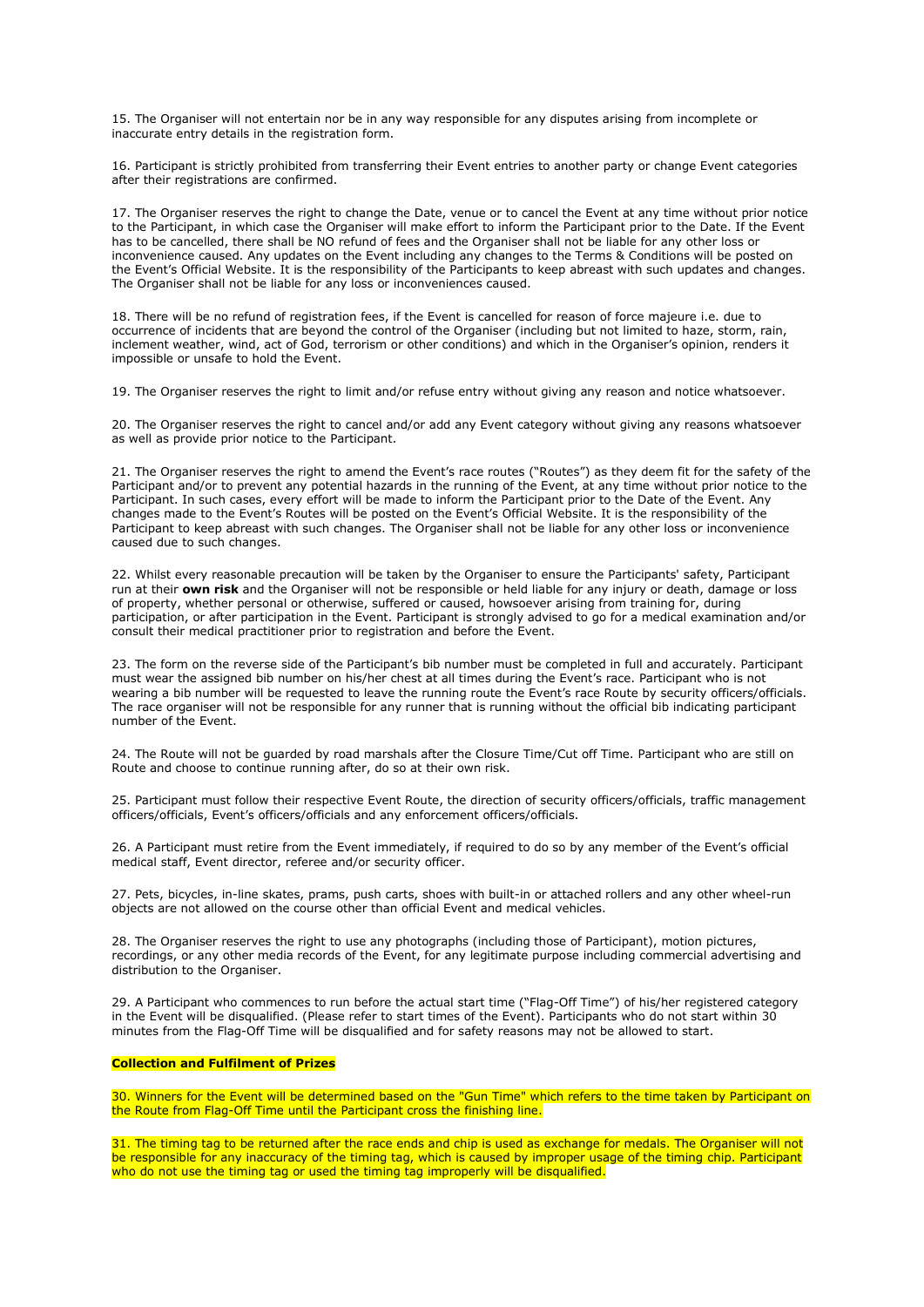15. The Organiser will not entertain nor be in any way responsible for any disputes arising from incomplete or inaccurate entry details in the registration form.

16. Participant is strictly prohibited from transferring their Event entries to another party or change Event categories after their registrations are confirmed.

17. The Organiser reserves the right to change the Date, venue or to cancel the Event at any time without prior notice to the Participant, in which case the Organiser will make effort to inform the Participant prior to the Date. If the Event has to be cancelled, there shall be NO refund of fees and the Organiser shall not be liable for any other loss or inconvenience caused. Any updates on the Event including any changes to the Terms & Conditions will be posted on the Event's Official Website. It is the responsibility of the Participants to keep abreast with such updates and changes. The Organiser shall not be liable for any loss or inconveniences caused.

18. There will be no refund of registration fees, if the Event is cancelled for reason of force majeure i.e. due to occurrence of incidents that are beyond the control of the Organiser (including but not limited to haze, storm, rain, inclement weather, wind, act of God, terrorism or other conditions) and which in the Organiser's opinion, renders it impossible or unsafe to hold the Event.

19. The Organiser reserves the right to limit and/or refuse entry without giving any reason and notice whatsoever.

20. The Organiser reserves the right to cancel and/or add any Event category without giving any reasons whatsoever as well as provide prior notice to the Participant.

21. The Organiser reserves the right to amend the Event's race routes ("Routes") as they deem fit for the safety of the Participant and/or to prevent any potential hazards in the running of the Event, at any time without prior notice to the Participant. In such cases, every effort will be made to inform the Participant prior to the Date of the Event. Any changes made to the Event's Routes will be posted on the Event's Official Website. It is the responsibility of the Participant to keep abreast with such changes. The Organiser shall not be liable for any other loss or inconvenience caused due to such changes.

22. Whilst every reasonable precaution will be taken by the Organiser to ensure the Participants' safety, Participant run at their **own risk** and the Organiser will not be responsible or held liable for any injury or death, damage or loss of property, whether personal or otherwise, suffered or caused, howsoever arising from training for, during participation, or after participation in the Event. Participant is strongly advised to go for a medical examination and/or consult their medical practitioner prior to registration and before the Event.

23. The form on the reverse side of the Participant's bib number must be completed in full and accurately. Participant must wear the assigned bib number on his/her chest at all times during the Event's race. Participant who is not wearing a bib number will be requested to leave the running route the Event's race Route by security officers/officials. The race organiser will not be responsible for any runner that is running without the official bib indicating participant number of the Event.

24. The Route will not be guarded by road marshals after the Closure Time/Cut off Time. Participant who are still on Route and choose to continue running after, do so at their own risk.

25. Participant must follow their respective Event Route, the direction of security officers/officials, traffic management officers/officials, Event's officers/officials and any enforcement officers/officials.

26. A Participant must retire from the Event immediately, if required to do so by any member of the Event's official medical staff, Event director, referee and/or security officer.

27. Pets, bicycles, in-line skates, prams, push carts, shoes with built-in or attached rollers and any other wheel-run objects are not allowed on the course other than official Event and medical vehicles.

28. The Organiser reserves the right to use any photographs (including those of Participant), motion pictures, recordings, or any other media records of the Event, for any legitimate purpose including commercial advertising and distribution to the Organiser.

29. A Participant who commences to run before the actual start time ("Flag-Off Time") of his/her registered category in the Event will be disqualified. (Please refer to start times of the Event). Participants who do not start within 30 minutes from the Flag-Off Time will be disqualified and for safety reasons may not be allowed to start.

# **Collection and Fulfilment of Prizes**

30. Winners for the Event will be determined based on the "Gun Time" which refers to the time taken by Participant on the Route from Flag-Off Time until the Participant cross the finishing line.

31. The timing tag to be returned after the race ends and chip is used as exchange for medals. The Organiser will not be responsible for any inaccuracy of the timing tag, which is caused by improper usage of the timing chip. Participant who do not use the timing tag or used the timing tag improperly will be disqualified.